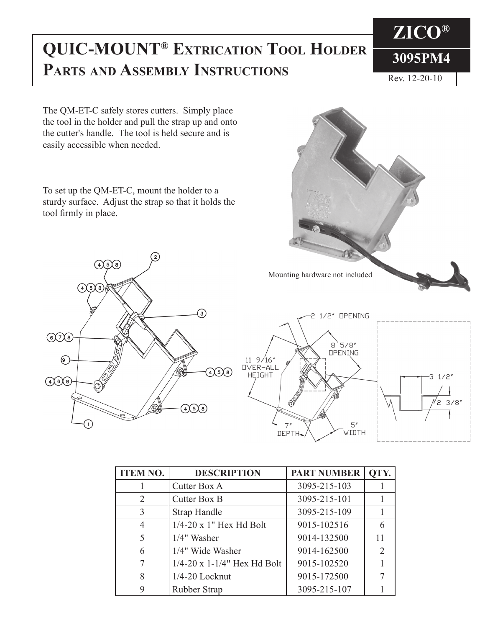## **3095PM4 QUIC-MOUNT® EXTRICATION TOOL HOLDER PARTS AND ASSEMBLY INSTRUCTIONS**

Rev. 12-20-10

**ZICO®**

The QM-ET-C safely stores cutters. Simply place the tool in the holder and pull the strap up and onto the cutter's handle. The tool is held secure and is easily accessible when needed.

To set up the QM-ET-C, mount the holder to a sturdy surface. Adjust the strap so that it holds the tool firmly in place.





| <b>ITEM NO.</b> | <b>DESCRIPTION</b>            | <b>PART NUMBER</b> | QTY. |
|-----------------|-------------------------------|--------------------|------|
|                 | Cutter Box A                  | 3095-215-103       |      |
| $\overline{2}$  | Cutter Box B                  | 3095-215-101       |      |
| 3               | <b>Strap Handle</b>           | 3095-215-109       |      |
| 4               | $1/4-20$ x 1" Hex Hd Bolt     | 9015-102516        |      |
| 5               | $1/4$ " Washer                | 9014-132500        | 11   |
| 6               | 1/4" Wide Washer              | 9014-162500        | 2    |
|                 | $1/4-20$ x 1-1/4" Hex Hd Bolt | 9015-102520        |      |
| 8               | 1/4-20 Locknut                | 9015-172500        |      |
| 9               | Rubber Strap                  | 3095-215-107       |      |